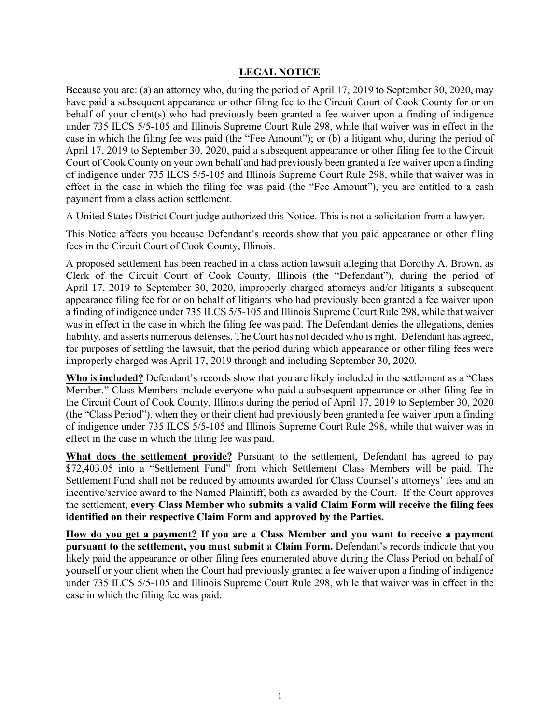## **LEGAL NOTICE**

Because you are: (a) an attorney who, during the period of April 17, 2019 to September 30, 2020, may have paid a subsequent appearance or other filing fee to the Circuit Court of Cook County for or on behalf of your client(s) who had previously been granted a fee waiver upon a finding of indigence under 735 ILCS 5/5-105 and Illinois Supreme Court Rule 298, while that waiver was in effect in the case in which the filing fee was paid (the "Fee Amount"); or (b) a litigant who, during the period of April 17, 2019 to September 30, 2020, paid a subsequent appearance or other filing fee to the Circuit Court of Cook County on your own behalf and had previously been granted a fee waiver upon a finding of indigence under 735 ILCS 5/5-105 and Illinois Supreme Court Rule 298, while that waiver was in effect in the case in which the filing fee was paid (the "Fee Amount"), you are entitled to a cash payment from a class action settlement.

A United States District Court judge authorized this Notice. This is not a solicitation from a lawyer.

This Notice affects you because Defendant's records show that you paid appearance or other filing fees in the Circuit Court of Cook County, Illinois.

A proposed settlement has been reached in a class action lawsuit alleging that Dorothy A. Brown, as Clerk of the Circuit Court of Cook County, Illinois (the "Defendant"), during the period of April 17, 2019 to September 30, 2020, improperly charged attorneys and/or litigants a subsequent appearance filing fee for or on behalf of litigants who had previously been granted a fee waiver upon a finding of indigence under 735 ILCS 5/5-105 and Illinois Supreme Court Rule 298, while that waiver was in effect in the case in which the filing fee was paid. The Defendant denies the allegations, denies liability, and asserts numerous defenses. The Court has not decided who is right. Defendant has agreed, for purposes of settling the lawsuit, that the period during which appearance or other filing fees were improperly charged was April 17, 2019 through and including September 30, 2020.

**Who is included?** Defendant's records show that you are likely included in the settlement as a "Class Member." Class Members include everyone who paid a subsequent appearance or other filing fee in the Circuit Court of Cook County, Illinois during the period of April 17, 2019 to September 30, 2020 (the "Class Period"), when they or their client had previously been granted a fee waiver upon a finding of indigence under 735 ILCS 5/5-105 and Illinois Supreme Court Rule 298, while that waiver was in effect in the case in which the filing fee was paid.

**What does the settlement provide?** Pursuant to the settlement, Defendant has agreed to pay \$72,403.05 into a "Settlement Fund" from which Settlement Class Members will be paid. The Settlement Fund shall not be reduced by amounts awarded for Class Counsel's attorneys' fees and an incentive/service award to the Named Plaintiff, both as awarded by the Court. If the Court approves the settlement, **every Class Member who submits a valid Claim Form will receive the filing fees identified on their respective Claim Form and approved by the Parties.**

**How do you get a payment? If you are a Class Member and you want to receive a payment pursuant to the settlement, you must submit a Claim Form.** Defendant's records indicate that you likely paid the appearance or other filing fees enumerated above during the Class Period on behalf of yourself or your client when the Court had previously granted a fee waiver upon a finding of indigence under 735 ILCS 5/5-105 and Illinois Supreme Court Rule 298, while that waiver was in effect in the case in which the filing fee was paid.